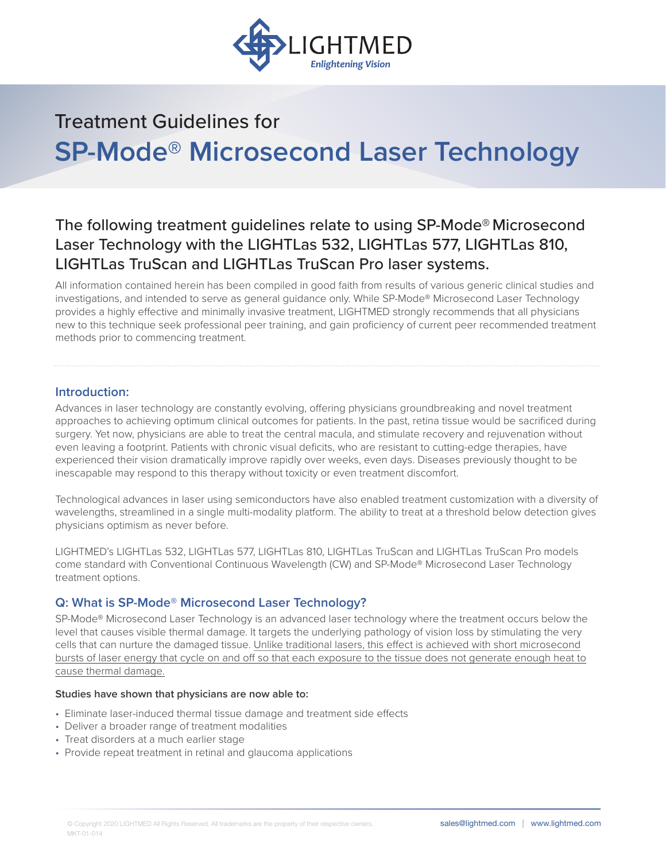

# Treatment Guidelines for **SP-Mode® Microsecond Laser Technology**

# The following treatment guidelines relate to using SP-Mode® Microsecond Laser Technology with the LIGHTLas 532, LIGHTLas 577, LIGHTLas 810, LIGHTLas TruScan and LIGHTLas TruScan Pro laser systems.

All information contained herein has been compiled in good faith from results of various generic clinical studies and investigations, and intended to serve as general guidance only. While SP-Mode® Microsecond Laser Technology provides a highly effective and minimally invasive treatment, LIGHTMED strongly recommends that all physicians new to this technique seek professional peer training, and gain proficiency of current peer recommended treatment methods prior to commencing treatment.

### **Introduction:**

Advances in laser technology are constantly evolving, offering physicians groundbreaking and novel treatment approaches to achieving optimum clinical outcomes for patients. In the past, retina tissue would be sacrificed during surgery. Yet now, physicians are able to treat the central macula, and stimulate recovery and rejuvenation without even leaving a footprint. Patients with chronic visual deficits, who are resistant to cutting-edge therapies, have experienced their vision dramatically improve rapidly over weeks, even days. Diseases previously thought to be inescapable may respond to this therapy without toxicity or even treatment discomfort.

Technological advances in laser using semiconductors have also enabled treatment customization with a diversity of wavelengths, streamlined in a single multi-modality platform. The ability to treat at a threshold below detection gives physicians optimism as never before.

LIGHTMED's LIGHTLas 532, LIGHTLas 577, LIGHTLas 810, LIGHTLas TruScan and LIGHTLas TruScan Pro models come standard with Conventional Continuous Wavelength (CW) and SP-Mode® Microsecond Laser Technology treatment options.

### **Q: What is SP-Mode® Microsecond Laser Technology?**

SP-Mode® Microsecond Laser Technology is an advanced laser technology where the treatment occurs below the level that causes visible thermal damage. It targets the underlying pathology of vision loss by stimulating the very cells that can nurture the damaged tissue. Unlike traditional lasers, this effect is achieved with short microsecond bursts of laser energy that cycle on and off so that each exposure to the tissue does not generate enough heat to cause thermal damage.

#### **Studies have shown that physicians are now able to:**

- Eliminate laser-induced thermal tissue damage and treatment side effects
- Deliver a broader range of treatment modalities
- Treat disorders at a much earlier stage
- Provide repeat treatment in retinal and glaucoma applications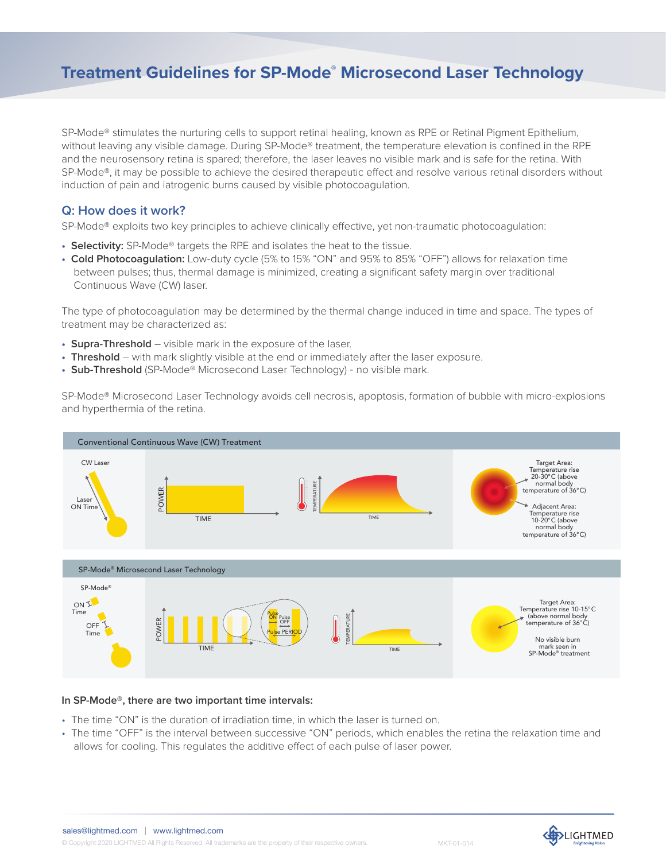# **Treatment Guidelines for SP-Mode® Microsecond Laser Technology**

SP-Mode<sup>®</sup> stimulates the nurturing cells to support retinal healing, known as RPE or Retinal Pigment Epithelium, without leaving any visible damage. During SP-Mode® treatment, the temperature elevation is confined in the RPE and the neurosensory retina is spared; therefore, the laser leaves no visible mark and is safe for the retina. With SP-Mode®, it may be possible to achieve the desired therapeutic effect and resolve various retinal disorders without induction of pain and iatrogenic burns caused by visible photocoagulation.

### **Q: How does it work?**

SP-Mode® exploits two key principles to achieve clinically effective, yet non-traumatic photocoagulation:

- **Selectivity:** SP-Mode® targets the RPE and isolates the heat to the tissue.
- **Cold Photocoagulation:** Low‐duty cycle (5% to 15% "ON" and 95% to 85% "OFF") allows for relaxation time between pulses; thus, thermal damage is minimized, creating a significant safety margin over traditional Continuous Wave (CW) laser.

The type of photocoagulation may be determined by the thermal change induced in time and space. The types of treatment may be characterized as:

- **Supra-Threshold**  visible mark in the exposure of the laser.
- **Threshold** with mark slightly visible at the end or immediately after the laser exposure.
- **Sub-Threshold** (SP-Mode® Microsecond Laser Technology) ‐ no visible mark.

SP-Mode® Microsecond Laser Technology avoids cell necrosis, apoptosis, formation of bubble with micro-explosions and hyperthermia of the retina.



#### **In SP-Mode®, there are two important time intervals:**

- The time "ON" is the duration of irradiation time, in which the laser is turned on.
- The time "OFF" is the interval between successive "ON" periods, which enables the retina the relaxation time and allows for cooling. This regulates the additive effect of each pulse of laser power.

sales@lightmed.com | www.lightmed.com

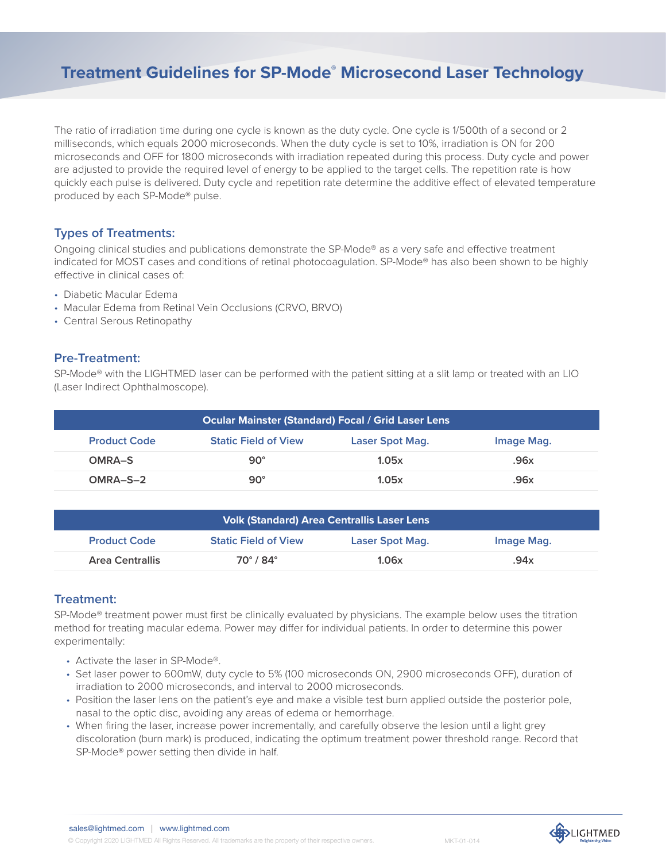# **Treatment Guidelines for SP-Mode® Microsecond Laser Technology**

The ratio of irradiation time during one cycle is known as the duty cycle. One cycle is 1/500th of a second or 2 milliseconds, which equals 2000 microseconds. When the duty cycle is set to 10%, irradiation is ON for 200 microseconds and OFF for 1800 microseconds with irradiation repeated during this process. Duty cycle and power are adjusted to provide the required level of energy to be applied to the target cells. The repetition rate is how quickly each pulse is delivered. Duty cycle and repetition rate determine the additive effect of elevated temperature produced by each SP-Mode® pulse.

## **Types of Treatments:**

Ongoing clinical studies and publications demonstrate the SP-Mode® as a very safe and effective treatment indicated for MOST cases and conditions of retinal photocoagulation. SP-Mode® has also been shown to be highly effective in clinical cases of:

- Diabetic Macular Edema
- Macular Edema from Retinal Vein Occlusions (CRVO, BRVO)
- Central Serous Retinopathy

### **Pre-Treatment:**

SP-Mode® with the LIGHTMED laser can be performed with the patient sitting at a slit lamp or treated with an LIO (Laser Indirect Ophthalmoscope).

| <b>Ocular Mainster (Standard) Focal / Grid Laser Lens</b> |                             |                 |            |  |
|-----------------------------------------------------------|-----------------------------|-----------------|------------|--|
| <b>Product Code</b>                                       | <b>Static Field of View</b> | Laser Spot Mag. | Image Mag. |  |
| OMRA-S                                                    | $90^\circ$                  | 1.05x           | .96x       |  |
| $OMRA-S-2$                                                | $90^\circ$                  | 1.05x           | .96x       |  |

| <b>Volk (Standard) Area Centrallis Laser Lens</b> |                             |                 |            |  |
|---------------------------------------------------|-----------------------------|-----------------|------------|--|
| <b>Product Code</b>                               | <b>Static Field of View</b> | Laser Spot Mag. | Image Mag. |  |
| <b>Area Centrallis</b>                            | $70^\circ/84^\circ$         | 1.06x           | .94x       |  |

# **Treatment:**

SP-Mode® treatment power must first be clinically evaluated by physicians. The example below uses the titration method for treating macular edema. Power may differ for individual patients. In order to determine this power experimentally:

- Activate the laser in SP-Mode®.
- Set laser power to 600mW, duty cycle to 5% (100 microseconds ON, 2900 microseconds OFF), duration of irradiation to 2000 microseconds, and interval to 2000 microseconds.
- Position the laser lens on the patient's eye and make a visible test burn applied outside the posterior pole, nasal to the optic disc, avoiding any areas of edema or hemorrhage.
- When firing the laser, increase power incrementally, and carefully observe the lesion until a light grey discoloration (burn mark) is produced, indicating the optimum treatment power threshold range. Record that SP-Mode® power setting then divide in half.